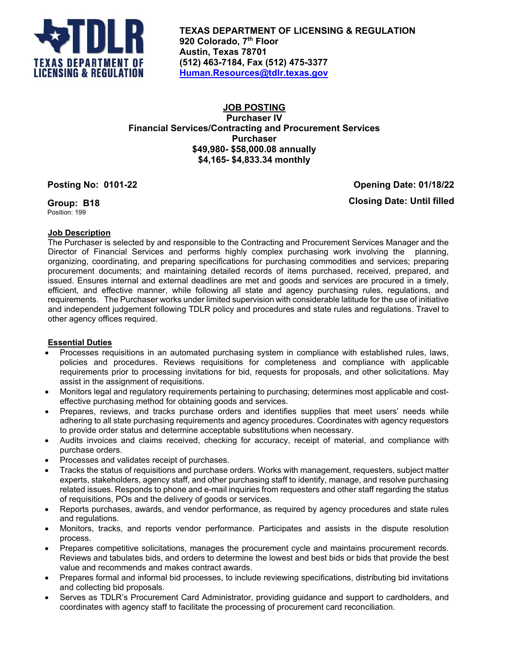

**TEXAS DEPARTMENT OF LICENSING & REGULATION 920 Colorado, 7th Floor Austin, Texas 78701 (512) 463-7184, Fax (512) 475-3377 [Human.Resources@tdlr.texas.gov](mailto:Human.Resources@tdlr.texas.gov)**

# **JOB POSTING Purchaser IV Financial Services/Contracting and Procurement Services Purchaser \$49,980- \$58,000.08 annually \$4,165- \$4,833.34 monthly**

**Posting No: 0101-22 Opening Date: 01/18/22**

**Group: B18** Position: 199

**Closing Date: Until filled**

# **Job Description**

The Purchaser is selected by and responsible to the Contracting and Procurement Services Manager and the Director of Financial Services and performs highly complex purchasing work involving the planning, organizing, coordinating, and preparing specifications for purchasing commodities and services; preparing procurement documents; and maintaining detailed records of items purchased, received, prepared, and issued. Ensures internal and external deadlines are met and goods and services are procured in a timely, efficient, and effective manner, while following all state and agency purchasing rules, regulations, and requirements. The Purchaser works under limited supervision with considerable latitude for the use of initiative and independent judgement following TDLR policy and procedures and state rules and regulations. Travel to other agency offices required.

## **Essential Duties**

- Processes requisitions in an automated purchasing system in compliance with established rules, laws, policies and procedures. Reviews requisitions for completeness and compliance with applicable requirements prior to processing invitations for bid, requests for proposals, and other solicitations. May assist in the assignment of requisitions.
- Monitors legal and regulatory requirements pertaining to purchasing; determines most applicable and costeffective purchasing method for obtaining goods and services.
- Prepares, reviews, and tracks purchase orders and identifies supplies that meet users' needs while adhering to all state purchasing requirements and agency procedures. Coordinates with agency requestors to provide order status and determine acceptable substitutions when necessary.
- Audits invoices and claims received, checking for accuracy, receipt of material, and compliance with purchase orders.
- Processes and validates receipt of purchases.
- Tracks the status of requisitions and purchase orders. Works with management, requesters, subject matter experts, stakeholders, agency staff, and other purchasing staff to identify, manage, and resolve purchasing related issues. Responds to phone and e-mail inquiries from requesters and other staff regarding the status of requisitions, POs and the delivery of goods or services.
- Reports purchases, awards, and vendor performance, as required by agency procedures and state rules and regulations.
- Monitors, tracks, and reports vendor performance. Participates and assists in the dispute resolution process.
- Prepares competitive solicitations, manages the procurement cycle and maintains procurement records. Reviews and tabulates bids, and orders to determine the lowest and best bids or bids that provide the best value and recommends and makes contract awards.
- Prepares formal and informal bid processes, to include reviewing specifications, distributing bid invitations and collecting bid proposals.
- Serves as TDLR's Procurement Card Administrator, providing guidance and support to cardholders, and coordinates with agency staff to facilitate the processing of procurement card reconciliation.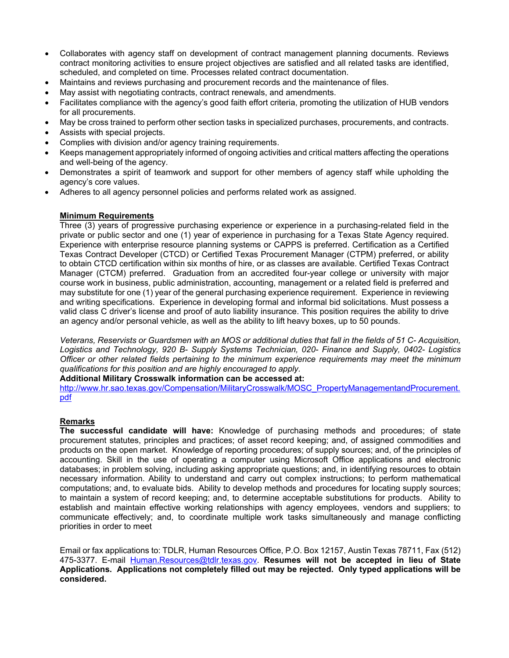- Collaborates with agency staff on development of contract management planning documents. Reviews contract monitoring activities to ensure project objectives are satisfied and all related tasks are identified, scheduled, and completed on time. Processes related contract documentation.
- Maintains and reviews purchasing and procurement records and the maintenance of files.
- May assist with negotiating contracts, contract renewals, and amendments.
- Facilitates compliance with the agency's good faith effort criteria, promoting the utilization of HUB vendors for all procurements.
- May be cross trained to perform other section tasks in specialized purchases, procurements, and contracts.
- Assists with special projects.
- Complies with division and/or agency training requirements.
- Keeps management appropriately informed of ongoing activities and critical matters affecting the operations and well-being of the agency.
- Demonstrates a spirit of teamwork and support for other members of agency staff while upholding the agency's core values.
- Adheres to all agency personnel policies and performs related work as assigned.

## **Minimum Requirements**

Three (3) years of progressive purchasing experience or experience in a purchasing-related field in the private or public sector and one (1) year of experience in purchasing for a Texas State Agency required. Experience with enterprise resource planning systems or CAPPS is preferred. Certification as a Certified Texas Contract Developer (CTCD) or Certified Texas Procurement Manager (CTPM) preferred, or ability to obtain CTCD certification within six months of hire, or as classes are available. Certified Texas Contract Manager (CTCM) preferred. Graduation from an accredited four-year college or university with major course work in business, public administration, accounting, management or a related field is preferred and may substitute for one (1) year of the general purchasing experience requirement. Experience in reviewing and writing specifications. Experience in developing formal and informal bid solicitations. Must possess a valid class C driver's license and proof of auto liability insurance. This position requires the ability to drive an agency and/or personal vehicle, as well as the ability to lift heavy boxes, up to 50 pounds.

*Veterans, Reservists or Guardsmen with an MOS or additional duties that fall in the fields of 51 C- Acquisition, Logistics and Technology, 920 B- Supply Systems Technician, 020- Finance and Supply, 0402- Logistics Officer or other related fields pertaining to the minimum experience requirements may meet the minimum qualifications for this position and are highly encouraged to apply.*

### **Additional Military Crosswalk information can be accessed at:**

[http://www.hr.sao.texas.gov/Compensation/MilitaryCrosswalk/MOSC\\_PropertyManagementandProcurement.](http://www.hr.sao.texas.gov/Compensation/MilitaryCrosswalk/MOSC_PropertyManagementandProcurement.pdf) [pdf](http://www.hr.sao.texas.gov/Compensation/MilitaryCrosswalk/MOSC_PropertyManagementandProcurement.pdf)

### **Remarks**

**The successful candidate will have:** Knowledge of purchasing methods and procedures; of state procurement statutes, principles and practices; of asset record keeping; and, of assigned commodities and products on the open market. Knowledge of reporting procedures; of supply sources; and, of the principles of accounting. Skill in the use of operating a computer using Microsoft Office applications and electronic databases; in problem solving, including asking appropriate questions; and, in identifying resources to obtain necessary information. Ability to understand and carry out complex instructions; to perform mathematical computations; and, to evaluate bids. Ability to develop methods and procedures for locating supply sources; to maintain a system of record keeping; and, to determine acceptable substitutions for products. Ability to establish and maintain effective working relationships with agency employees, vendors and suppliers; to communicate effectively; and, to coordinate multiple work tasks simultaneously and manage conflicting priorities in order to meet

Email or fax applications to: TDLR, Human Resources Office, P.O. Box 12157, Austin Texas 78711, Fax (512) 475-3377. E-mail [Human.Resources@tdlr.texas.gov.](mailto:Human.Resources@tdlr.texas.gov) **Resumes will not be accepted in lieu of State Applications. Applications not completely filled out may be rejected. Only typed applications will be considered.**